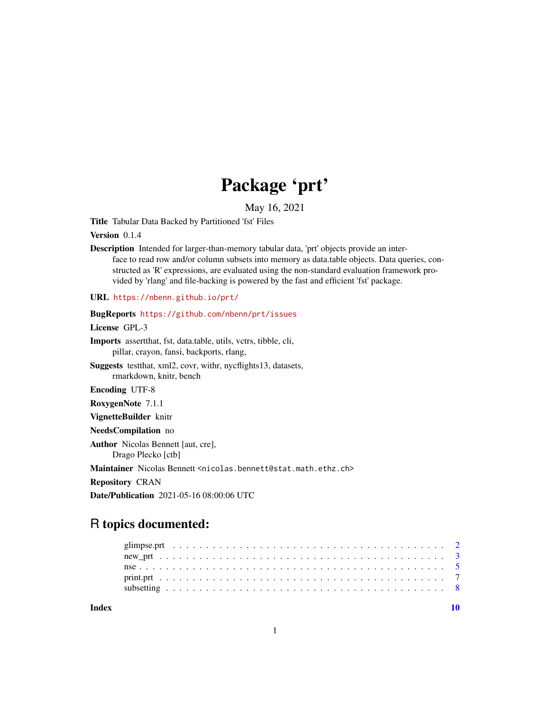# Package 'prt'

May 16, 2021

<span id="page-0-0"></span>Title Tabular Data Backed by Partitioned 'fst' Files

Version 0.1.4

Description Intended for larger-than-memory tabular data, 'prt' objects provide an interface to read row and/or column subsets into memory as data.table objects. Data queries, constructed as 'R' expressions, are evaluated using the non-standard evaluation framework provided by 'rlang' and file-backing is powered by the fast and efficient 'fst' package.

URL <https://nbenn.github.io/prt/>

# BugReports <https://github.com/nbenn/prt/issues> License GPL-3 Imports assertthat, fst, data.table, utils, vctrs, tibble, cli, pillar, crayon, fansi, backports, rlang, Suggests testthat, xml2, covr, withr, nycflights13, datasets, rmarkdown, knitr, bench Encoding UTF-8 RoxygenNote 7.1.1 VignetteBuilder knitr NeedsCompilation no Author Nicolas Bennett [aut, cre], Drago Plecko [ctb] Maintainer Nicolas Bennett <nicolas.bennett@stat.math.ethz.ch>

Repository CRAN

Date/Publication 2021-05-16 08:00:06 UTC

# R topics documented:

 $\blacksquare$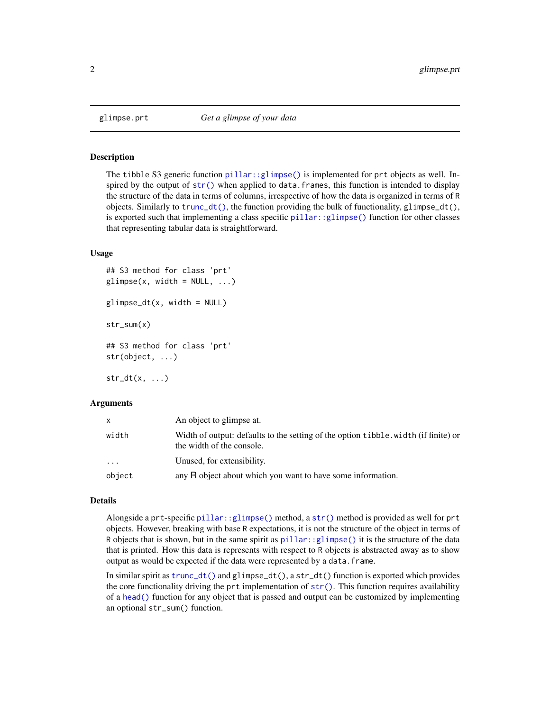<span id="page-1-0"></span>

# **Description**

The tibble S3 generic function [pillar::glimpse\(\)](#page-0-0) is implemented for prt objects as well. Inspired by the output of  $str()$  when applied to data. frames, this function is intended to display the structure of the data in terms of columns, irrespective of how the data is organized in terms of R objects. Similarly to [trunc\\_dt\(\)](#page-6-1), the function providing the bulk of functionality, glimpse\_dt(), is exported such that implementing a class specific [pillar::glimpse\(\)](#page-0-0) function for other classes that representing tabular data is straightforward.

## Usage

```
## S3 method for class 'prt'
glimpse(x, width = NULL, ...)glimpse_dt(x, width = NULL)str_sum(x)
## S3 method for class 'prt'
str(object, ...)
str_d(t(x, \ldots))
```
#### Arguments

|        | An object to glimpse at.                                                                                         |
|--------|------------------------------------------------------------------------------------------------------------------|
| width  | Width of output: defaults to the setting of the option tibble. width (if finite) or<br>the width of the console. |
| .      | Unused, for extensibility.                                                                                       |
| object | any R object about which you want to have some information.                                                      |

# Details

Alongside a prt-specific [pillar::glimpse\(\)](#page-0-0) method, a [str\(\)](#page-0-0) method is provided as well for prt objects. However, breaking with base R expectations, it is not the structure of the object in terms of R objects that is shown, but in the same spirit as  $p$ illar::glimpse() it is the structure of the data that is printed. How this data is represents with respect to R objects is abstracted away as to show output as would be expected if the data were represented by a data.frame.

In similar spirit as [trunc\\_dt\(\)](#page-6-1) and glimpse\_dt(), a str\_dt() function is exported which provides the core functionality driving the prt implementation of  $str()$ . This function requires availability of a [head\(\)](#page-0-0) function for any object that is passed and output can be customized by implementing an optional str\_sum() function.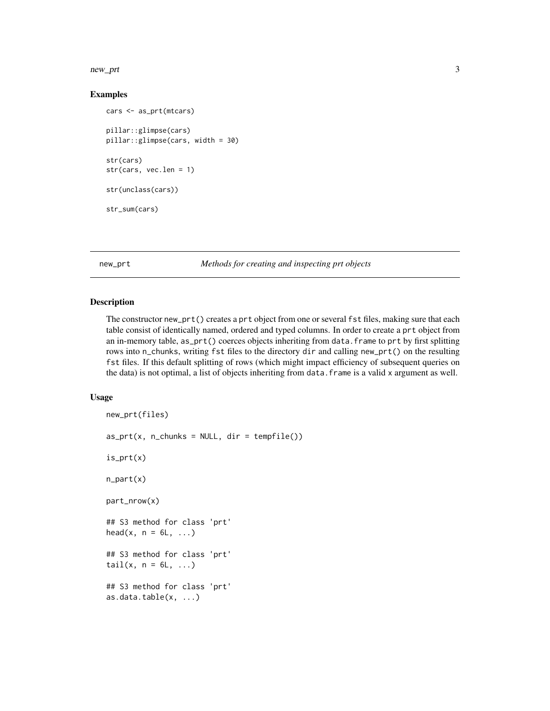#### <span id="page-2-0"></span>new\_prt 3

# Examples

```
cars <- as_prt(mtcars)
pillar::glimpse(cars)
pillar::glimpse(cars, width = 30)
str(cars)
str(cars, vec.len = 1)
str(unclass(cars))
str_sum(cars)
```
new\_prt *Methods for creating and inspecting prt objects*

### Description

The constructor new\_prt() creates a prt object from one or several fst files, making sure that each table consist of identically named, ordered and typed columns. In order to create a prt object from an in-memory table, as\_prt() coerces objects inheriting from data.frame to prt by first splitting rows into n\_chunks, writing fst files to the directory dir and calling new\_prt() on the resulting fst files. If this default splitting of rows (which might impact efficiency of subsequent queries on the data) is not optimal, a list of objects inheriting from data.frame is a valid x argument as well.

# Usage

```
new_prt(files)
as\_prt(x, n\_chunks = NULL, dir = template())is_prt(x)
n_part(x)
part_nrow(x)
## S3 method for class 'prt'
head(x, n = 6L, ...)
## S3 method for class 'prt'
tail(x, n = 6L, ...)## S3 method for class 'prt'
as.data.table(x, ...)
```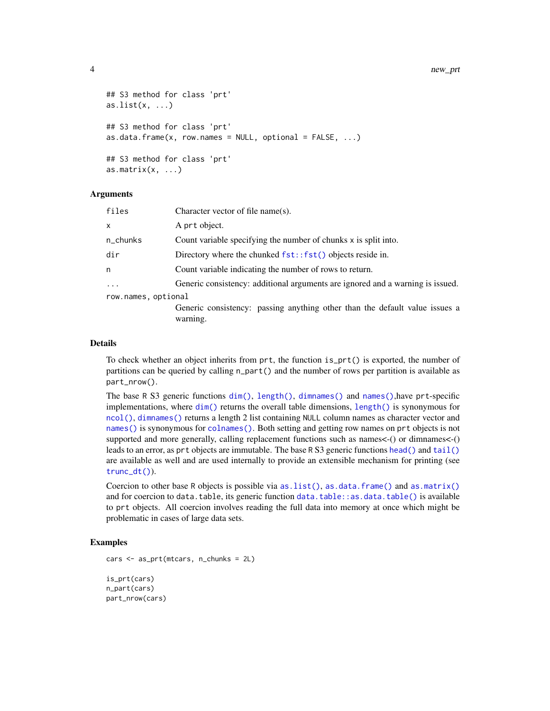```
## S3 method for class 'prt'
as.list(x, \ldots)## S3 method for class 'prt'
as.data frame(x, row.name = NULL, optional = FALSE, ...)## S3 method for class 'prt'
as.matrix(x, ...)
```
# Arguments

| files               | Character vector of file name(s).                                                       |
|---------------------|-----------------------------------------------------------------------------------------|
| x                   | A prt object.                                                                           |
| n_chunks            | Count variable specifying the number of chunks x is split into.                         |
| dir                 | Directory where the chunked $fst::fst()$ objects reside in.                             |
| n                   | Count variable indicating the number of rows to return.                                 |
| $\ddots$ .          | Generic consistency: additional arguments are ignored and a warning is issued.          |
| row.names, optional |                                                                                         |
|                     | Generic consistency: passing anything other than the default value issues a<br>warning. |

#### Details

To check whether an object inherits from prt, the function is\_prt() is exported, the number of partitions can be queried by calling n\_part() and the number of rows per partition is available as part\_nrow().

The base R S3 generic functions [dim\(\)](#page-0-0), [length\(\)](#page-0-0), [dimnames\(\)](#page-0-0) and [names\(\)](#page-0-0),have prt-specific implementations, where  $\dim()$  $\dim()$  returns the overall table dimensions, [length\(\)](#page-0-0) is synonymous for [ncol\(\)](#page-0-0), [dimnames\(\)](#page-0-0) returns a length 2 list containing NULL column names as character vector and [names\(\)](#page-0-0) is synonymous for [colnames\(\)](#page-0-0). Both setting and getting row names on prt objects is not supported and more generally, calling replacement functions such as names<-() or dimnames<-() leads to an error, as prt objects are immutable. The base R S3 generic functions [head\(\)](#page-0-0) and [tail\(\)](#page-0-0) are available as well and are used internally to provide an extensible mechanism for printing (see [trunc\\_dt\(\)](#page-6-1)).

Coercion to other base R objects is possible via  $as.list($ ),  $as.data.frame()$  and  $as.mathix()$ and for coercion to data.table, its generic function [data.table::as.data.table\(\)](#page-0-0) is available to prt objects. All coercion involves reading the full data into memory at once which might be problematic in cases of large data sets.

#### Examples

```
cars <- as_prt(mtcars, n_chunks = 2L)
is_prt(cars)
n_part(cars)
part_nrow(cars)
```
<span id="page-3-0"></span>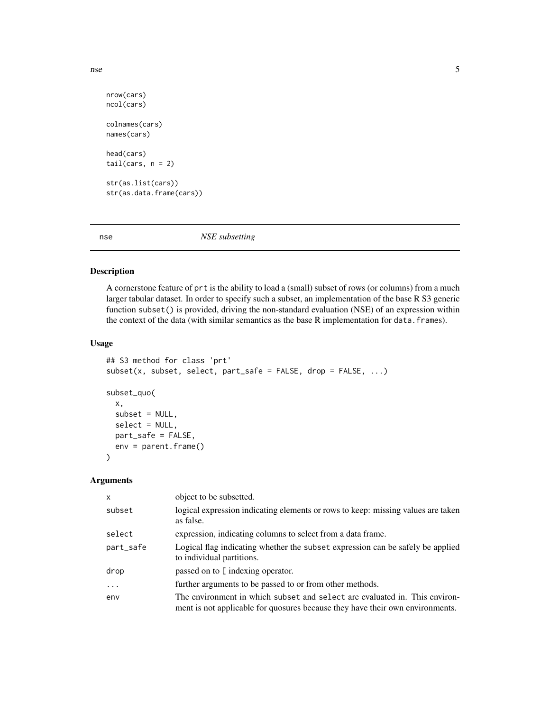```
nse 5
```

```
nrow(cars)
ncol(cars)
colnames(cars)
names(cars)
head(cars)
tail(cars, n = 2)str(as.list(cars))
str(as.data.frame(cars))
```
nse *NSE subsetting*

# Description

A cornerstone feature of prt is the ability to load a (small) subset of rows (or columns) from a much larger tabular dataset. In order to specify such a subset, an implementation of the base R S3 generic function subset() is provided, driving the non-standard evaluation (NSE) of an expression within the context of the data (with similar semantics as the base R implementation for data. frames).

# Usage

```
## S3 method for class 'prt'
subset(x, subset, select, select, part\_safe = FALSE, drop = FALSE, ...)subset_quo(
 x,
 subset = NULL,
 select = NULL,
 part_safe = FALSE,
 env = parent.frame()
)
```
# Arguments

| X          | object to be subsetted.                                                                                                                                     |
|------------|-------------------------------------------------------------------------------------------------------------------------------------------------------------|
| subset     | logical expression indicating elements or rows to keep: missing values are taken<br>as false.                                                               |
| select     | expression, indicating columns to select from a data frame.                                                                                                 |
| part_safe  | Logical flag indicating whether the subset expression can be safely be applied<br>to individual partitions.                                                 |
| drop       | passed on to [ indexing operator.                                                                                                                           |
| $\ddots$ . | further arguments to be passed to or from other methods.                                                                                                    |
| env        | The environment in which subset and select are evaluated in. This environ-<br>ment is not applicable for quosures because they have their own environments. |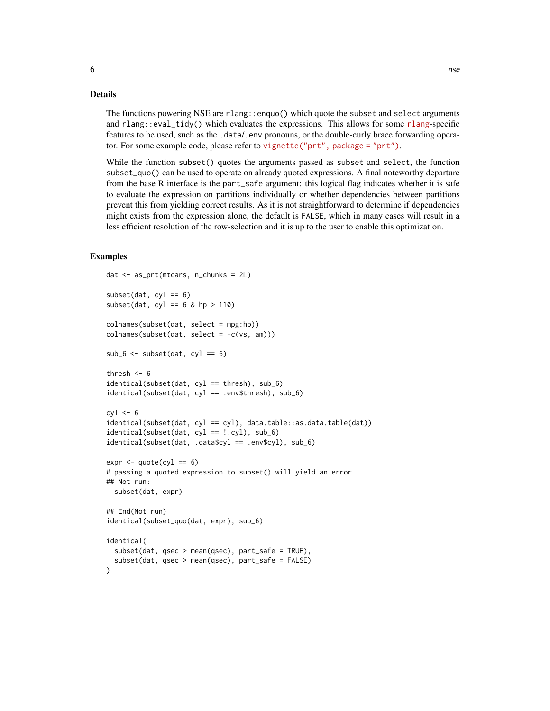#### Details

The functions powering NSE are rlang::enquo() which quote the subset and select arguments and rlang::eval\_tidy() which evaluates the expressions. This allows for some [rlang](https://rlang.r-lib.org)-specific features to be used, such as the .data/.env pronouns, or the double-curly brace forwarding operator. For some example code, please refer to [vignette\("prt", package = "prt"\)](../doc/prt.html).

While the function subset() quotes the arguments passed as subset and select, the function subset\_quo() can be used to operate on already quoted expressions. A final noteworthy departure from the base R interface is the part\_safe argument: this logical flag indicates whether it is safe to evaluate the expression on partitions individually or whether dependencies between partitions prevent this from yielding correct results. As it is not straightforward to determine if dependencies might exists from the expression alone, the default is FALSE, which in many cases will result in a less efficient resolution of the row-selection and it is up to the user to enable this optimization.

# Examples

```
dat < - as_prt(mtcars, n_chunks = 2L)subset(data, cyl == 6)subset(dat, cyl == 6 & hp > 110)
colnames(subset(dat, select = mpg:hp))
colnames(subset(data, select = -c(vs, am)))sub_6 < -sub> subset(data, cyl == 6)thresh <-6identical(subset(dat, cyl == thresh), sub_6)
identical(subset(dat, cyl == .env$thresh), sub_6)
cv1 < -6identical(subset(dat, cyl == cyl), data.table::as.data.table(dat))
identical(subset(dat, cyl == !!cyl), sub_6)
identical(subset(dat, .data$cyl == .env$cyl), sub_6)
expr < -quote(cyl == 6)# passing a quoted expression to subset() will yield an error
## Not run:
 subset(dat, expr)
## End(Not run)
identical(subset_quo(dat, expr), sub_6)
identical(
 subset(dat, qsec > mean(qsec), part_safe = TRUE),
 subset(dat, qsec > mean(qsec), part_safe = FALSE)
)
```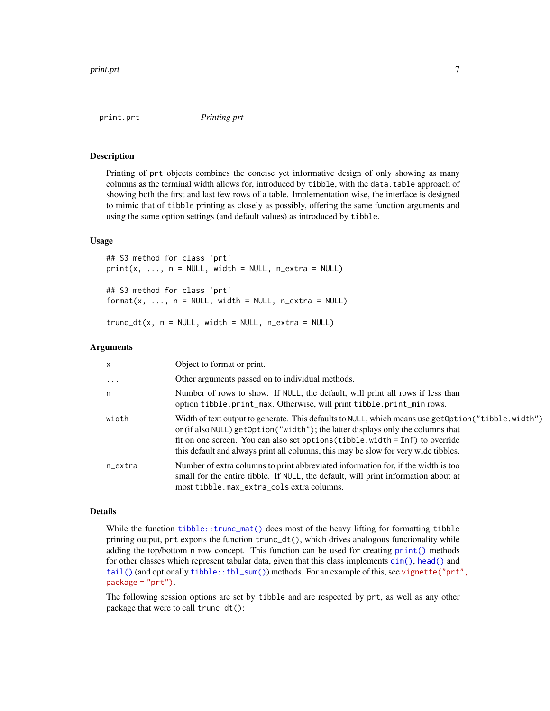<span id="page-6-0"></span>

#### <span id="page-6-1"></span>Description

Printing of prt objects combines the concise yet informative design of only showing as many columns as the terminal width allows for, introduced by tibble, with the data.table approach of showing both the first and last few rows of a table. Implementation wise, the interface is designed to mimic that of tibble printing as closely as possibly, offering the same function arguments and using the same option settings (and default values) as introduced by tibble.

# Usage

## S3 method for class 'prt'  $print(x, ..., n = NULL, width = NULL, n_{extra} = NULL)$ ## S3 method for class 'prt'  $format(x, ..., n = NULL, width = NULL, n_{extra} = NULL)$  $trunc_dt(x, n = NULL, width = NULL, n\_extra = NULL)$ 

#### Arguments

| X        | Object to format or print.                                                                                                                                                                                                                                                                                                                                     |
|----------|----------------------------------------------------------------------------------------------------------------------------------------------------------------------------------------------------------------------------------------------------------------------------------------------------------------------------------------------------------------|
| $\ddots$ | Other arguments passed on to individual methods.                                                                                                                                                                                                                                                                                                               |
| n        | Number of rows to show. If NULL, the default, will print all rows if less than<br>option tibble.print_max. Otherwise, will print tibble.print_min rows.                                                                                                                                                                                                        |
| width    | Width of text output to generate. This defaults to NULL, which means use get Option ("tibble. width")<br>or (if also NULL) getOption("width"); the latter displays only the columns that<br>fit on one screen. You can also set options (tibble.width = Inf) to override<br>this default and always print all columns, this may be slow for very wide tibbles. |
| n_extra  | Number of extra columns to print abbreviated information for, if the width is too<br>small for the entire tibble. If NULL, the default, will print information about at<br>most tibble.max_extra_cols extra columns.                                                                                                                                           |

#### Details

While the function [tibble::trunc\\_mat\(\)](#page-0-0) does most of the heavy lifting for formatting tibble printing output, prt exports the function trunc\_dt(), which drives analogous functionality while adding the top/bottom n row concept. This function can be used for creating [print\(\)](#page-0-0) methods for other classes which represent tabular data, given that this class implements [dim\(\)](#page-0-0), [head\(\)](#page-0-0) and [tail\(\)](#page-0-0) (and optionally [tibble::tbl\\_sum\(\)](#page-0-0)) methods. For an example of this, see [vignette\("prt"](../doc/prt.html), [package = "prt"\)](../doc/prt.html).

The following session options are set by tibble and are respected by prt, as well as any other package that were to call trunc\_dt():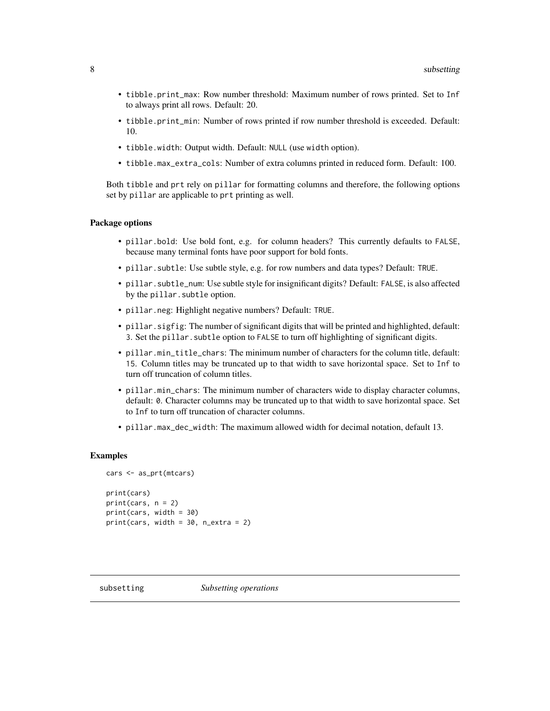- <span id="page-7-0"></span>• tibble.print\_max: Row number threshold: Maximum number of rows printed. Set to Inf to always print all rows. Default: 20.
- tibble.print\_min: Number of rows printed if row number threshold is exceeded. Default: 10.
- tibble.width: Output width. Default: NULL (use width option).
- tibble.max\_extra\_cols: Number of extra columns printed in reduced form. Default: 100.

Both tibble and prt rely on pillar for formatting columns and therefore, the following options set by pillar are applicable to prt printing as well.

# Package options

- pillar.bold: Use bold font, e.g. for column headers? This currently defaults to FALSE, because many terminal fonts have poor support for bold fonts.
- pillar.subtle: Use subtle style, e.g. for row numbers and data types? Default: TRUE.
- pillar.subtle\_num: Use subtle style for insignificant digits? Default: FALSE, is also affected by the pillar.subtle option.
- pillar.neg: Highlight negative numbers? Default: TRUE.
- pillar.sigfig: The number of significant digits that will be printed and highlighted, default: 3. Set the pillar.subtle option to FALSE to turn off highlighting of significant digits.
- pillar.min\_title\_chars: The minimum number of characters for the column title, default: 15. Column titles may be truncated up to that width to save horizontal space. Set to Inf to turn off truncation of column titles.
- pillar.min\_chars: The minimum number of characters wide to display character columns, default: 0. Character columns may be truncated up to that width to save horizontal space. Set to Inf to turn off truncation of character columns.
- pillar.max\_dec\_width: The maximum allowed width for decimal notation, default 13.

### Examples

```
cars <- as_prt(mtcars)
print(cars)
print(cars, n = 2)
print(cars, width = 30)
print(cars, width = 30, n\_extra = 2)
```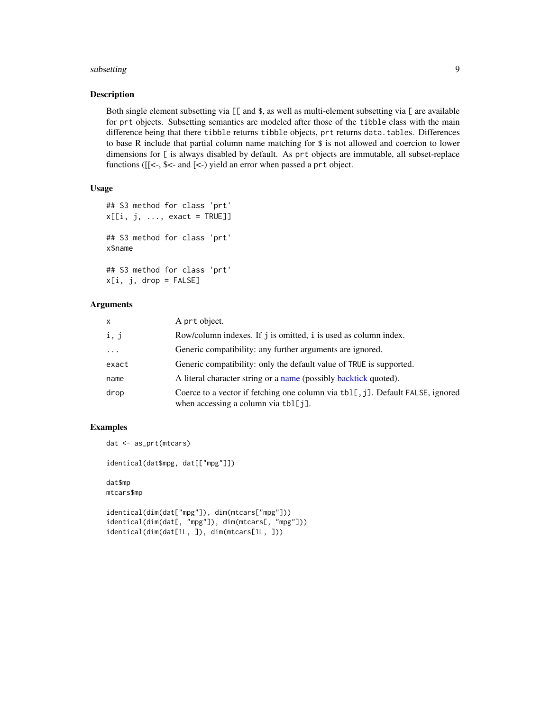#### <span id="page-8-0"></span>subsetting the contract of the contract of the contract of the contract of the contract of the contract of the contract of the contract of the contract of the contract of the contract of the contract of the contract of the

### Description

Both single element subsetting via  $[\![$  and \$, as well as multi-element subsetting via  $[\!]$  are available for prt objects. Subsetting semantics are modeled after those of the tibble class with the main difference being that there tibble returns tibble objects, prt returns data.tables. Differences to base R include that partial column name matching for \$ is not allowed and coercion to lower dimensions for [ is always disabled by default. As prt objects are immutable, all subset-replace functions ([[<-, \$<- and [<-) yield an error when passed a prt object.

# Usage

```
## S3 method for class 'prt'
x[[i, j, ..., exact = TRUE]]## S3 method for class 'prt'
x$name
## S3 method for class 'prt'
x[i, j, drop = FALSE]
```
#### Arguments

| X       | A prt object.                                                                                                         |
|---------|-----------------------------------------------------------------------------------------------------------------------|
| i, j    | Row/column indexes. If j is omitted, i is used as column index.                                                       |
| $\cdot$ | Generic compatibility: any further arguments are ignored.                                                             |
| exact   | Generic compatibility: only the default value of TRUE is supported.                                                   |
| name    | A literal character string or a name (possibly backtick quoted).                                                      |
| drop    | Coerce to a vector if fetching one column via tbl[, j]. Default FALSE, ignored<br>when accessing a column via tbl[j]. |

# Examples

```
dat <- as_prt(mtcars)
```
identical(dat\$mpg, dat[["mpg"]])

dat\$mp mtcars\$mp

```
identical(dim(dat["mpg"]), dim(mtcars["mpg"]))
identical(dim(dat[, "mpg"]), dim(mtcars[, "mpg"]))
identical(dim(dat[1L, ]), dim(mtcars[1L, ]))
```